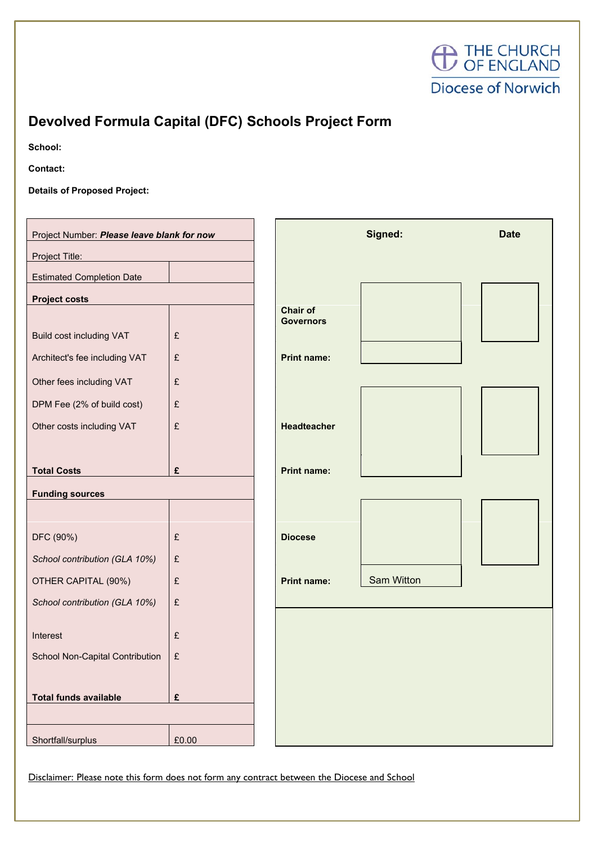

## **Devolved Formula Capital (DFC) Schools Project Form**

**School:**

**Contact:**

**Details of Proposed Project:**

| Project Number: Please leave blank for now |           |                              | Signed:    | <b>Date</b> |
|--------------------------------------------|-----------|------------------------------|------------|-------------|
| Project Title:                             |           |                              |            |             |
| <b>Estimated Completion Date</b>           |           |                              |            |             |
| <b>Project costs</b>                       |           |                              |            |             |
|                                            |           | Chair of<br><b>Governors</b> |            |             |
| <b>Build cost including VAT</b>            | £         |                              |            |             |
| Architect's fee including VAT              | £         | <b>Print name:</b>           |            |             |
| Other fees including VAT                   | $\pounds$ |                              |            |             |
| DPM Fee (2% of build cost)                 | $\pounds$ |                              |            |             |
| Other costs including VAT                  | £         | <b>Headteacher</b>           |            |             |
|                                            |           |                              |            |             |
| <b>Total Costs</b>                         | £         | <b>Print name:</b>           |            |             |
| <b>Funding sources</b>                     |           |                              |            |             |
|                                            |           |                              |            |             |
| DFC (90%)                                  | £         | <b>Diocese</b>               |            |             |
| School contribution (GLA 10%)              | £         |                              |            |             |
| OTHER CAPITAL (90%)                        | £         | <b>Print name:</b>           | Sam Witton |             |
| School contribution (GLA 10%)              | £         |                              |            |             |
|                                            |           |                              |            |             |
| Interest                                   | £         |                              |            |             |
| School Non-Capital Contribution            | $\pounds$ |                              |            |             |
|                                            |           |                              |            |             |
| <b>Total funds available</b>               | £         |                              |            |             |
|                                            |           |                              |            |             |
| Shortfall/surplus                          | £0.00     |                              |            |             |

Disclaimer: Please note this form does not form any contract between the Diocese and School